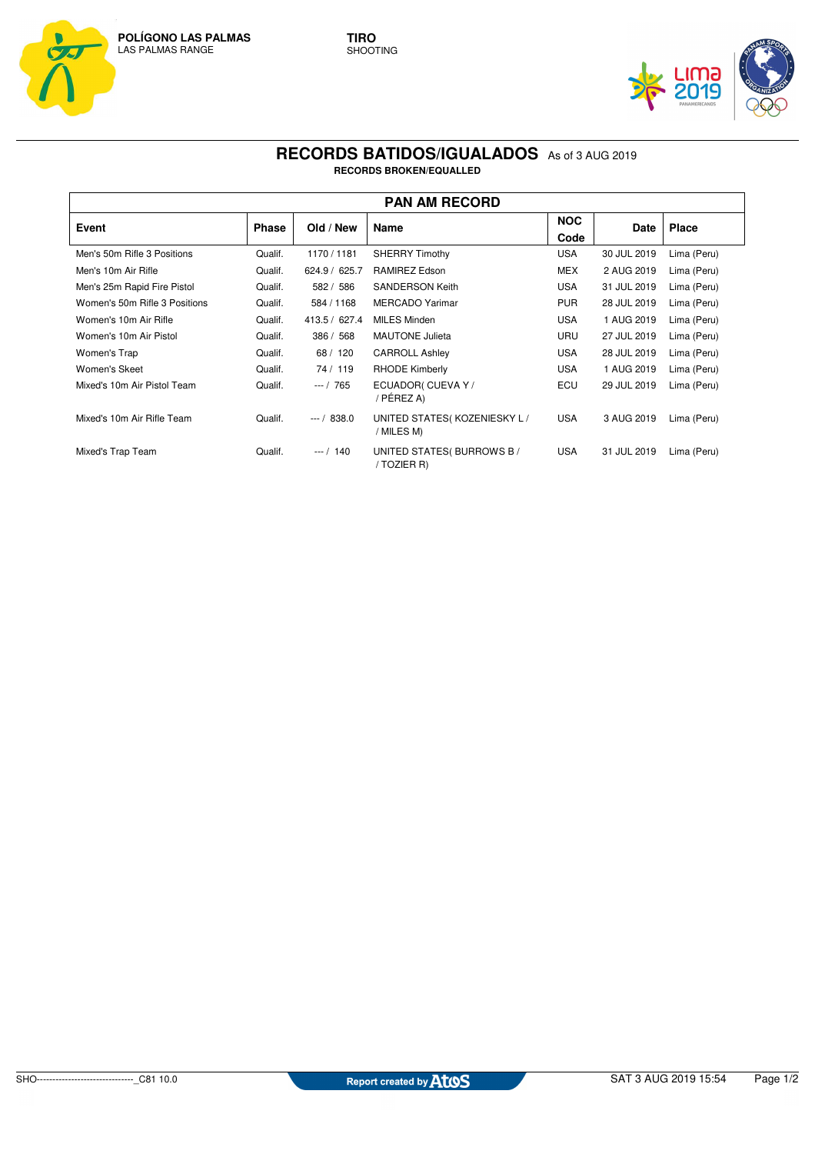



## **RECORDS BATIDOS/IGUALADOS** As of 3 AUG 2019 **RECORDS BROKEN/EQUALLED**

| <b>PAN AM RECORD</b>          |              |               |                                           |                    |             |              |  |  |  |  |
|-------------------------------|--------------|---------------|-------------------------------------------|--------------------|-------------|--------------|--|--|--|--|
| Event                         | <b>Phase</b> | Old / New     | Name                                      | <b>NOC</b><br>Code | Date        | <b>Place</b> |  |  |  |  |
| Men's 50m Rifle 3 Positions   | Qualif.      | 1170 / 1181   | SHERRY Timothy                            | <b>USA</b>         | 30 JUL 2019 | Lima (Peru)  |  |  |  |  |
| Men's 10m Air Rifle           | Qualif.      | 624.9 / 625.7 | <b>RAMIREZ Edson</b>                      | MEX                | 2 AUG 2019  | Lima (Peru)  |  |  |  |  |
| Men's 25m Rapid Fire Pistol   | Qualif.      | 582 / 586     | <b>SANDERSON Keith</b>                    | <b>USA</b>         | 31 JUL 2019 | Lima (Peru)  |  |  |  |  |
| Women's 50m Rifle 3 Positions | Qualif.      | 584 / 1168    | <b>MERCADO Yarimar</b>                    | <b>PUR</b>         | 28 JUL 2019 | Lima (Peru)  |  |  |  |  |
| Women's 10m Air Rifle         | Qualif.      | 413.5 / 627.4 | <b>MILES Minden</b>                       | <b>USA</b>         | 1 AUG 2019  | Lima (Peru)  |  |  |  |  |
| Women's 10m Air Pistol        | Qualif.      | 386 / 568     | <b>MAUTONE Julieta</b>                    | URU                | 27 JUL 2019 | Lima (Peru)  |  |  |  |  |
| Women's Trap                  | Qualif.      | 68 / 120      | <b>CARROLL Ashley</b>                     | <b>USA</b>         | 28 JUL 2019 | Lima (Peru)  |  |  |  |  |
| Women's Skeet                 | Qualif.      | 74 / 119      | <b>RHODE Kimberly</b>                     | <b>USA</b>         | 1 AUG 2019  | Lima (Peru)  |  |  |  |  |
| Mixed's 10m Air Pistol Team   | Qualif.      | $-1$ 765      | ECUADOR( CUEVA Y /<br>/ PÉREZ A)          | ECU                | 29 JUL 2019 | Lima (Peru)  |  |  |  |  |
| Mixed's 10m Air Rifle Team    | Qualif.      | $-7838.0$     | UNITED STATES(KOZENIESKY L/<br>/ MILES M) | <b>USA</b>         | 3 AUG 2019  | Lima (Peru)  |  |  |  |  |
| Mixed's Trap Team             | Qualif.      | $- - / 140$   | UNITED STATES(BURROWS B/<br>/ TOZIER R)   | USA                | 31 JUL 2019 | Lima (Peru)  |  |  |  |  |